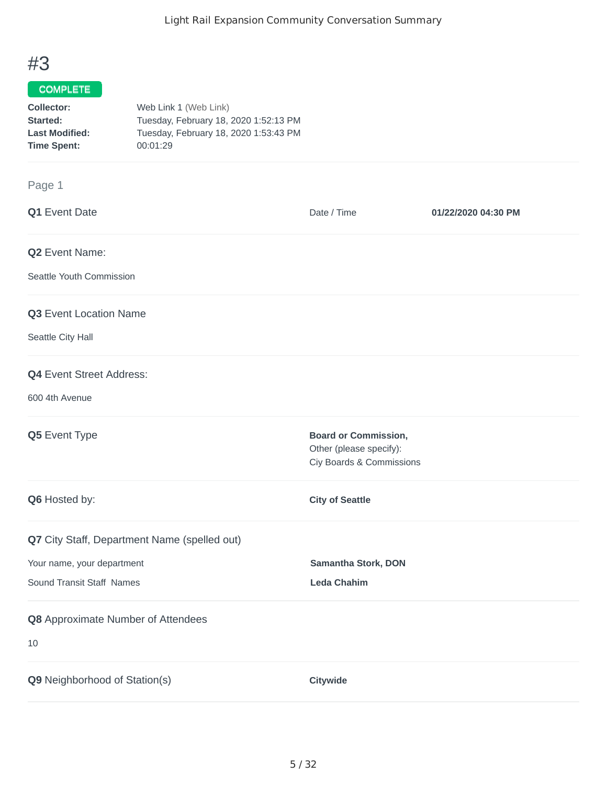## #3

## COMPLETE

| Collector:            | Web Link 1 (Web Link)                 |
|-----------------------|---------------------------------------|
| Started:              | Tuesday, February 18, 2020 1:52:13 PM |
| <b>Last Modified:</b> | Tuesday, February 18, 2020 1:53:43 PM |
| <b>Time Spent:</b>    | 00:01:29                              |

## Page 1

| Q1 Event Date                                                                                           | Date / Time                                                                        | 01/22/2020 04:30 PM |
|---------------------------------------------------------------------------------------------------------|------------------------------------------------------------------------------------|---------------------|
| Q2 Event Name:<br>Seattle Youth Commission                                                              |                                                                                    |                     |
| Q3 Event Location Name<br>Seattle City Hall                                                             |                                                                                    |                     |
| <b>Q4</b> Event Street Address:<br>600 4th Avenue                                                       |                                                                                    |                     |
| Q5 Event Type                                                                                           | <b>Board or Commission,</b><br>Other (please specify):<br>Ciy Boards & Commissions |                     |
| Q6 Hosted by:                                                                                           | <b>City of Seattle</b>                                                             |                     |
| Q7 City Staff, Department Name (spelled out)<br>Your name, your department<br>Sound Transit Staff Names | Samantha Stork, DON<br><b>Leda Chahim</b>                                          |                     |
| Q8 Approximate Number of Attendees<br>10                                                                |                                                                                    |                     |
| Q9 Neighborhood of Station(s)                                                                           | Citywide                                                                           |                     |